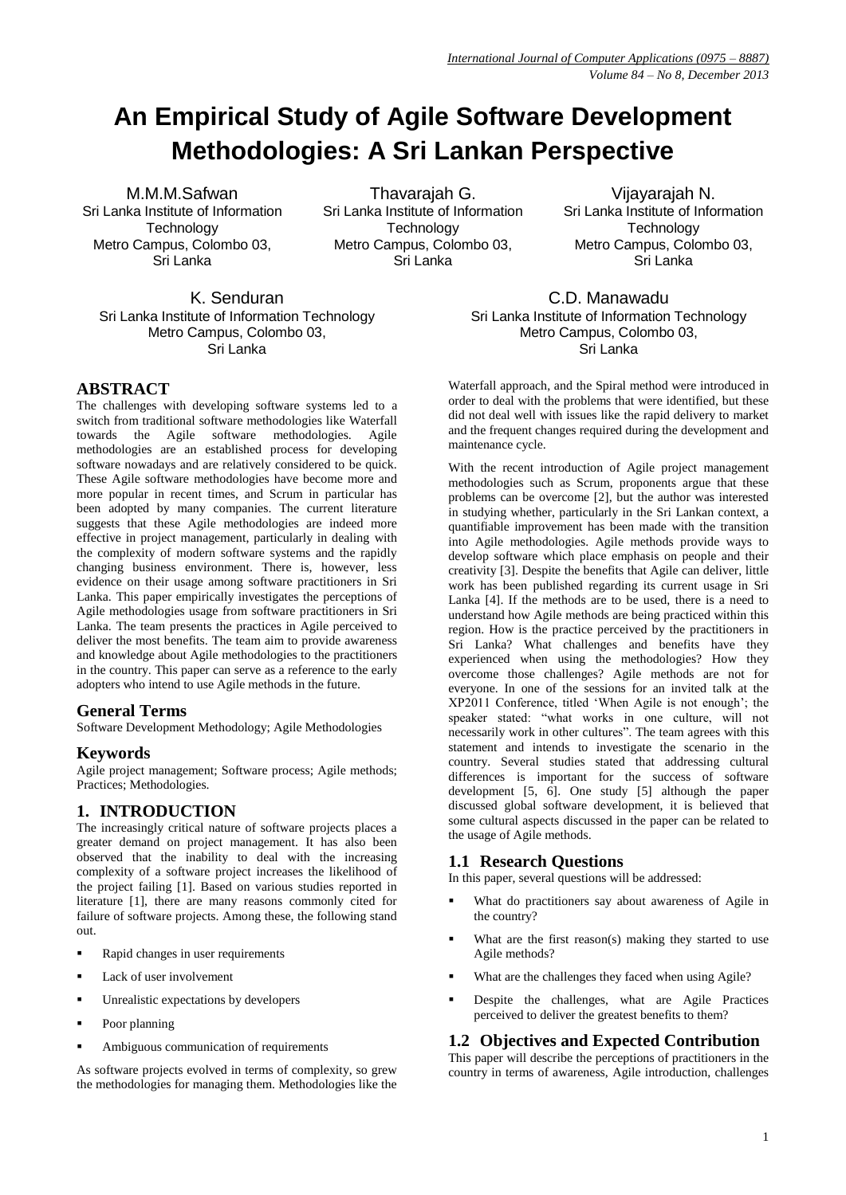# **An Empirical Study of Agile Software Development Methodologies: A Sri Lankan Perspective**

M.M.M.Safwan Sri Lanka Institute of Information **Technology** Metro Campus, Colombo 03, Sri Lanka

Thavarajah G. Sri Lanka Institute of Information **Technology** Metro Campus, Colombo 03, Sri Lanka

Vijayarajah N. Sri Lanka Institute of Information **Technology** Metro Campus, Colombo 03, Sri Lanka

K. Senduran Sri Lanka Institute of Information Technology Metro Campus, Colombo 03, Sri Lanka

# **ABSTRACT**

The challenges with developing software systems led to a switch from traditional software methodologies like Waterfall towards the Agile software methodologies. Agile methodologies are an established process for developing software nowadays and are relatively considered to be quick. These Agile software methodologies have become more and more popular in recent times, and Scrum in particular has been adopted by many companies. The current literature suggests that these Agile methodologies are indeed more effective in project management, particularly in dealing with the complexity of modern software systems and the rapidly changing business environment. There is, however, less evidence on their usage among software practitioners in Sri Lanka. This paper empirically investigates the perceptions of Agile methodologies usage from software practitioners in Sri Lanka. The team presents the practices in Agile perceived to deliver the most benefits. The team aim to provide awareness and knowledge about Agile methodologies to the practitioners in the country. This paper can serve as a reference to the early adopters who intend to use Agile methods in the future.

# **General Terms**

Software Development Methodology; Agile Methodologies

# **Keywords**

Agile project management; Software process; Agile methods; Practices; Methodologies.

# **1. INTRODUCTION**

The increasingly critical nature of software projects places a greater demand on project management. It has also been observed that the inability to deal with the increasing complexity of a software project increases the likelihood of the project failing [1]. Based on various studies reported in literature [1], there are many reasons commonly cited for failure of software projects. Among these, the following stand out.

- Rapid changes in user requirements
- Lack of user involvement
- Unrealistic expectations by developers
- Poor planning
- Ambiguous communication of requirements

As software projects evolved in terms of complexity, so grew the methodologies for managing them. Methodologies like the

C.D. Manawadu Sri Lanka Institute of Information Technology Metro Campus, Colombo 03, Sri Lanka

Waterfall approach, and the Spiral method were introduced in order to deal with the problems that were identified, but these did not deal well with issues like the rapid delivery to market and the frequent changes required during the development and maintenance cycle.

With the recent introduction of Agile project management methodologies such as Scrum, proponents argue that these problems can be overcome [2], but the author was interested in studying whether, particularly in the Sri Lankan context, a quantifiable improvement has been made with the transition into Agile methodologies. Agile methods provide ways to develop software which place emphasis on people and their creativity [3]. Despite the benefits that Agile can deliver, little work has been published regarding its current usage in Sri Lanka [4]. If the methods are to be used, there is a need to understand how Agile methods are being practiced within this region. How is the practice perceived by the practitioners in Sri Lanka? What challenges and benefits have they experienced when using the methodologies? How they overcome those challenges? Agile methods are not for everyone. In one of the sessions for an invited talk at the XP2011 Conference, titled 'When Agile is not enough'; the speaker stated: "what works in one culture, will not necessarily work in other cultures". The team agrees with this statement and intends to investigate the scenario in the country. Several studies stated that addressing cultural differences is important for the success of software development [5, 6]. One study [5] although the paper discussed global software development, it is believed that some cultural aspects discussed in the paper can be related to the usage of Agile methods.

## **1.1 Research Questions**

In this paper, several questions will be addressed:

- What do practitioners say about awareness of Agile in the country?
- What are the first reason(s) making they started to use Agile methods?
- What are the challenges they faced when using Agile?
- Despite the challenges, what are Agile Practices perceived to deliver the greatest benefits to them?

### **1.2 Objectives and Expected Contribution**

This paper will describe the perceptions of practitioners in the country in terms of awareness, Agile introduction, challenges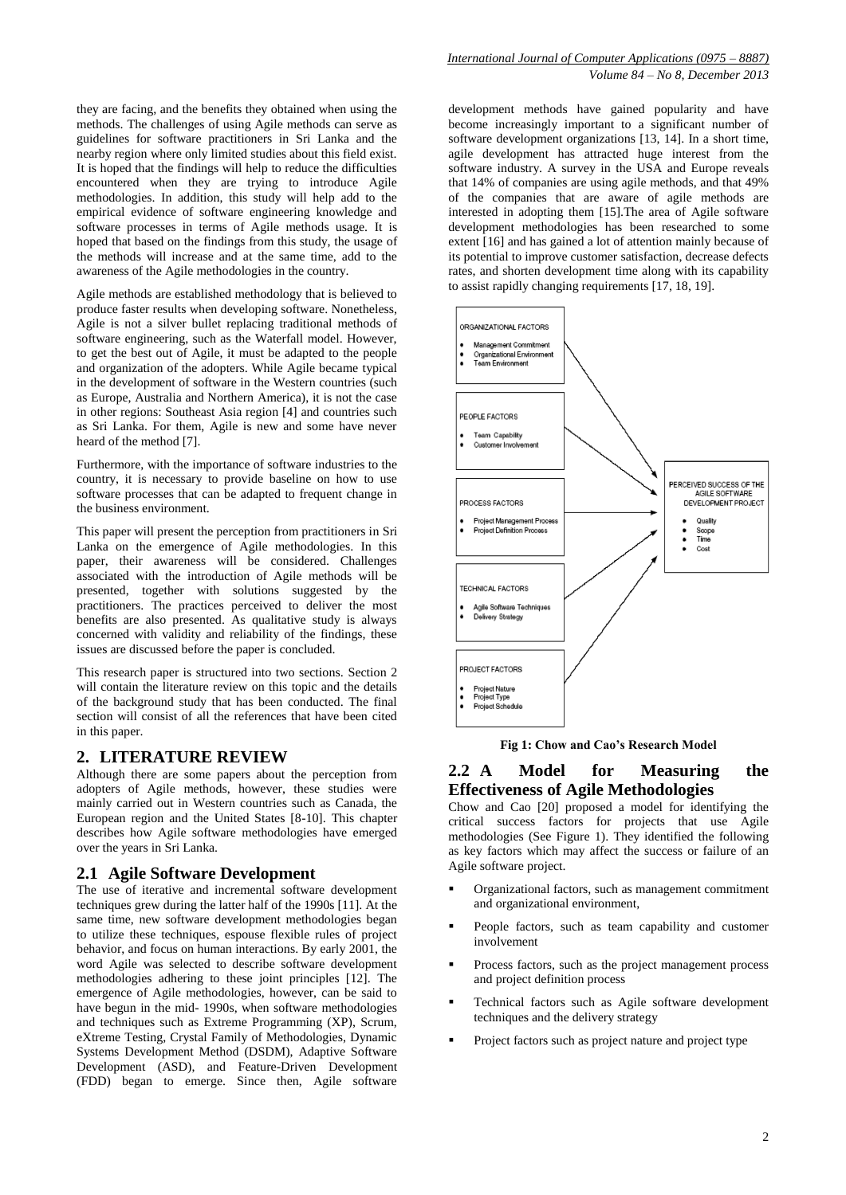they are facing, and the benefits they obtained when using the methods. The challenges of using Agile methods can serve as guidelines for software practitioners in Sri Lanka and the nearby region where only limited studies about this field exist. It is hoped that the findings will help to reduce the difficulties encountered when they are trying to introduce Agile methodologies. In addition, this study will help add to the empirical evidence of software engineering knowledge and software processes in terms of Agile methods usage. It is hoped that based on the findings from this study, the usage of the methods will increase and at the same time, add to the awareness of the Agile methodologies in the country.

Agile methods are established methodology that is believed to produce faster results when developing software. Nonetheless, Agile is not a silver bullet replacing traditional methods of software engineering, such as the Waterfall model. However, to get the best out of Agile, it must be adapted to the people and organization of the adopters. While Agile became typical in the development of software in the Western countries (such as Europe, Australia and Northern America), it is not the case in other regions: Southeast Asia region [4] and countries such as Sri Lanka. For them, Agile is new and some have never heard of the method [7].

Furthermore, with the importance of software industries to the country, it is necessary to provide baseline on how to use software processes that can be adapted to frequent change in the business environment.

This paper will present the perception from practitioners in Sri Lanka on the emergence of Agile methodologies. In this paper, their awareness will be considered. Challenges associated with the introduction of Agile methods will be presented, together with solutions suggested by the practitioners. The practices perceived to deliver the most benefits are also presented. As qualitative study is always concerned with validity and reliability of the findings, these issues are discussed before the paper is concluded.

This research paper is structured into two sections. Section 2 will contain the literature review on this topic and the details of the background study that has been conducted. The final section will consist of all the references that have been cited in this paper.

## **2. LITERATURE REVIEW**

Although there are some papers about the perception from adopters of Agile methods, however, these studies were mainly carried out in Western countries such as Canada, the European region and the United States [8-10]. This chapter describes how Agile software methodologies have emerged over the years in Sri Lanka.

#### **2.1 Agile Software Development**

The use of iterative and incremental software development techniques grew during the latter half of the 1990s [11]. At the same time, new software development methodologies began to utilize these techniques, espouse flexible rules of project behavior, and focus on human interactions. By early 2001, the word Agile was selected to describe software development methodologies adhering to these joint principles [12]. The emergence of Agile methodologies, however, can be said to have begun in the mid- 1990s, when software methodologies and techniques such as Extreme Programming (XP), Scrum, eXtreme Testing, Crystal Family of Methodologies, Dynamic Systems Development Method (DSDM), Adaptive Software Development (ASD), and Feature-Driven Development (FDD) began to emerge. Since then, Agile software

development methods have gained popularity and have become increasingly important to a significant number of software development organizations [13, 14]. In a short time, agile development has attracted huge interest from the software industry. A survey in the USA and Europe reveals that 14% of companies are using agile methods, and that 49% of the companies that are aware of agile methods are interested in adopting them [15].The area of Agile software development methodologies has been researched to some extent [16] and has gained a lot of attention mainly because of its potential to improve customer satisfaction, decrease defects rates, and shorten development time along with its capability to assist rapidly changing requirements [17, 18, 19].



**Fig 1: Chow and Cao's Research Model**

# **2.2 A Model for Measuring the Effectiveness of Agile Methodologies**

Chow and Cao [20] proposed a model for identifying the critical success factors for projects that use Agile methodologies (See Figure 1). They identified the following as key factors which may affect the success or failure of an Agile software project.

- Organizational factors, such as management commitment and organizational environment,
- People factors, such as team capability and customer involvement
- Process factors, such as the project management process and project definition process
- Technical factors such as Agile software development techniques and the delivery strategy
- Project factors such as project nature and project type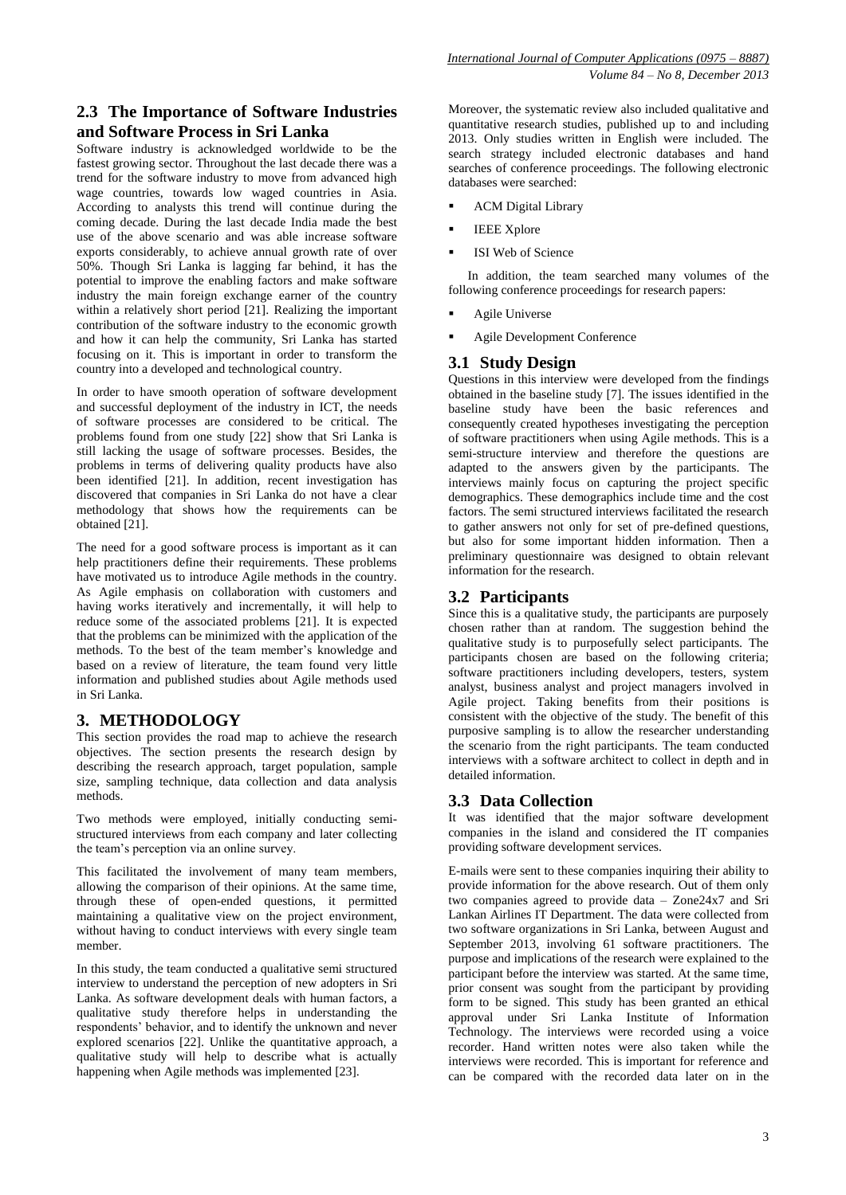# **2.3 The Importance of Software Industries and Software Process in Sri Lanka**

Software industry is acknowledged worldwide to be the fastest growing sector. Throughout the last decade there was a trend for the software industry to move from advanced high wage countries, towards low waged countries in Asia. According to analysts this trend will continue during the coming decade. During the last decade India made the best use of the above scenario and was able increase software exports considerably, to achieve annual growth rate of over 50%. Though Sri Lanka is lagging far behind, it has the potential to improve the enabling factors and make software industry the main foreign exchange earner of the country within a relatively short period [21]. Realizing the important contribution of the software industry to the economic growth and how it can help the community, Sri Lanka has started focusing on it. This is important in order to transform the country into a developed and technological country.

In order to have smooth operation of software development and successful deployment of the industry in ICT, the needs of software processes are considered to be critical. The problems found from one study [22] show that Sri Lanka is still lacking the usage of software processes. Besides, the problems in terms of delivering quality products have also been identified [21]. In addition, recent investigation has discovered that companies in Sri Lanka do not have a clear methodology that shows how the requirements can be obtained [21].

The need for a good software process is important as it can help practitioners define their requirements. These problems have motivated us to introduce Agile methods in the country. As Agile emphasis on collaboration with customers and having works iteratively and incrementally, it will help to reduce some of the associated problems [21]. It is expected that the problems can be minimized with the application of the methods. To the best of the team member's knowledge and based on a review of literature, the team found very little information and published studies about Agile methods used in Sri Lanka.

# **3. METHODOLOGY**

This section provides the road map to achieve the research objectives. The section presents the research design by describing the research approach, target population, sample size, sampling technique, data collection and data analysis methods.

Two methods were employed, initially conducting semistructured interviews from each company and later collecting the team's perception via an online survey.

This facilitated the involvement of many team members, allowing the comparison of their opinions. At the same time, through these of open-ended questions, it permitted maintaining a qualitative view on the project environment, without having to conduct interviews with every single team member.

In this study, the team conducted a qualitative semi structured interview to understand the perception of new adopters in Sri Lanka. As software development deals with human factors, a qualitative study therefore helps in understanding the respondents' behavior, and to identify the unknown and never explored scenarios [22]. Unlike the quantitative approach, a qualitative study will help to describe what is actually happening when Agile methods was implemented [23].

Moreover, the systematic review also included qualitative and quantitative research studies, published up to and including 2013. Only studies written in English were included. The search strategy included electronic databases and hand searches of conference proceedings. The following electronic databases were searched:

- ACM Digital Library
- IEEE Xplore
- ISI Web of Science

In addition, the team searched many volumes of the following conference proceedings for research papers:

- Agile Universe
- Agile Development Conference

# **3.1 Study Design**

Questions in this interview were developed from the findings obtained in the baseline study [7]. The issues identified in the baseline study have been the basic references and consequently created hypotheses investigating the perception of software practitioners when using Agile methods. This is a semi-structure interview and therefore the questions are adapted to the answers given by the participants. The interviews mainly focus on capturing the project specific demographics. These demographics include time and the cost factors. The semi structured interviews facilitated the research to gather answers not only for set of pre-defined questions, but also for some important hidden information. Then a preliminary questionnaire was designed to obtain relevant information for the research.

## **3.2 Participants**

Since this is a qualitative study, the participants are purposely chosen rather than at random. The suggestion behind the qualitative study is to purposefully select participants. The participants chosen are based on the following criteria; software practitioners including developers, testers, system analyst, business analyst and project managers involved in Agile project. Taking benefits from their positions is consistent with the objective of the study. The benefit of this purposive sampling is to allow the researcher understanding the scenario from the right participants. The team conducted interviews with a software architect to collect in depth and in detailed information.

# **3.3 Data Collection**

It was identified that the major software development companies in the island and considered the IT companies providing software development services.

E-mails were sent to these companies inquiring their ability to provide information for the above research. Out of them only two companies agreed to provide data – Zone24x7 and Sri Lankan Airlines IT Department. The data were collected from two software organizations in Sri Lanka, between August and September 2013, involving 61 software practitioners. The purpose and implications of the research were explained to the participant before the interview was started. At the same time, prior consent was sought from the participant by providing form to be signed. This study has been granted an ethical approval under Sri Lanka Institute of Information Technology. The interviews were recorded using a voice recorder. Hand written notes were also taken while the interviews were recorded. This is important for reference and can be compared with the recorded data later on in the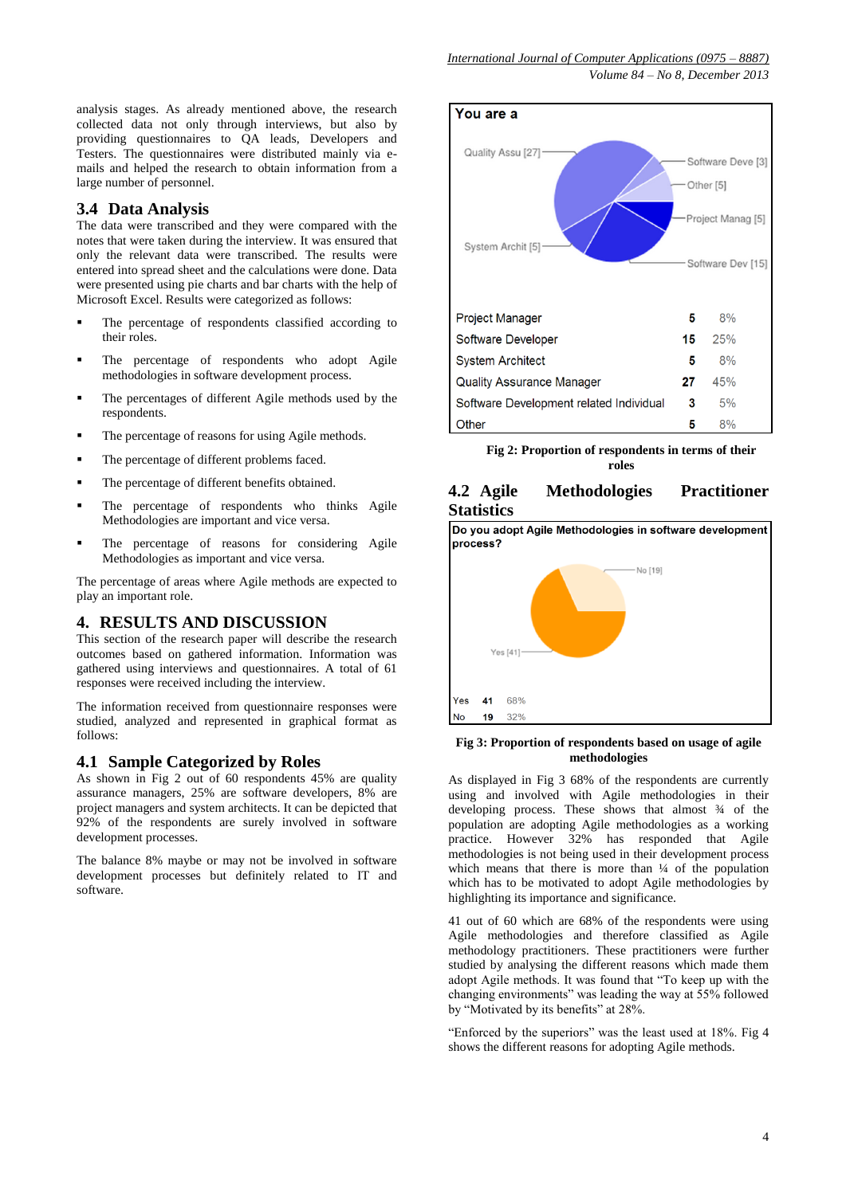analysis stages. As already mentioned above, the research collected data not only through interviews, but also by providing questionnaires to QA leads, Developers and Testers. The questionnaires were distributed mainly via emails and helped the research to obtain information from a large number of personnel.

#### **3.4 Data Analysis**

The data were transcribed and they were compared with the notes that were taken during the interview. It was ensured that only the relevant data were transcribed. The results were entered into spread sheet and the calculations were done. Data were presented using pie charts and bar charts with the help of Microsoft Excel. Results were categorized as follows:

- The percentage of respondents classified according to their roles.
- The percentage of respondents who adopt Agile methodologies in software development process.
- The percentages of different Agile methods used by the respondents.
- The percentage of reasons for using Agile methods.
- The percentage of different problems faced.
- The percentage of different benefits obtained.
- The percentage of respondents who thinks Agile Methodologies are important and vice versa.
- The percentage of reasons for considering Agile Methodologies as important and vice versa.

The percentage of areas where Agile methods are expected to play an important role.

## **4. RESULTS AND DISCUSSION**

This section of the research paper will describe the research outcomes based on gathered information. Information was gathered using interviews and questionnaires. A total of 61 responses were received including the interview.

The information received from questionnaire responses were studied, analyzed and represented in graphical format as follows:

#### **4.1 Sample Categorized by Roles**

As shown in Fig 2 out of 60 respondents 45% are quality assurance managers, 25% are software developers, 8% are project managers and system architects. It can be depicted that 92% of the respondents are surely involved in software development processes.

The balance 8% maybe or may not be involved in software development processes but definitely related to IT and software.



**Fig 2: Proportion of respondents in terms of their roles**

# **4.2 Agile Methodologies Practitioner Statistics**

Do you adopt Agile Methodologies in software development process?



#### **Fig 3: Proportion of respondents based on usage of agile methodologies**

As displayed in Fig 3 68% of the respondents are currently using and involved with Agile methodologies in their developing process. These shows that almost  $\frac{3}{4}$  of the population are adopting Agile methodologies as a working practice. However 32% has responded that Agile methodologies is not being used in their development process which means that there is more than  $\frac{1}{4}$  of the population which has to be motivated to adopt Agile methodologies by highlighting its importance and significance.

41 out of 60 which are 68% of the respondents were using Agile methodologies and therefore classified as Agile methodology practitioners. These practitioners were further studied by analysing the different reasons which made them adopt Agile methods. It was found that "To keep up with the changing environments" was leading the way at  $\overline{55\%}$  followed by "Motivated by its benefits" at 28%.

"Enforced by the superiors" was the least used at 18%. Fig 4 shows the different reasons for adopting Agile methods.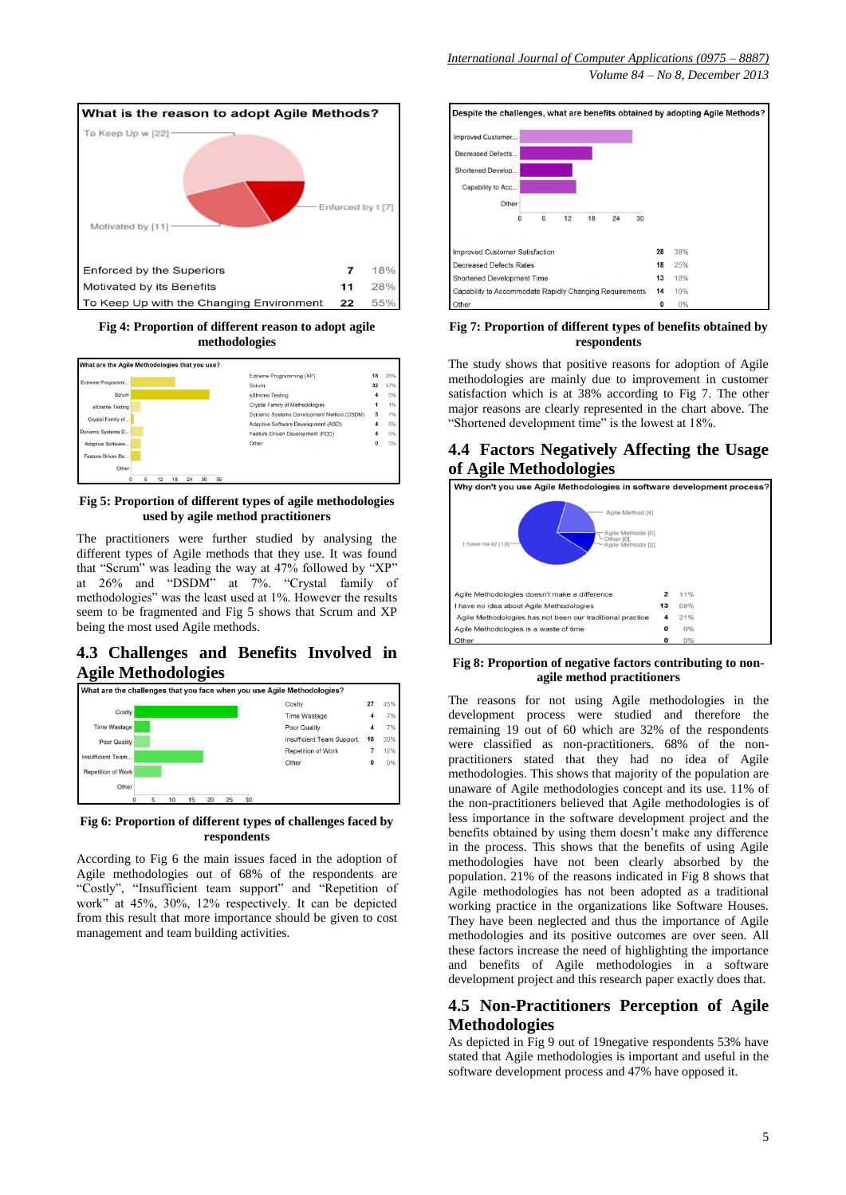

**Fig 4: Proportion of different reason to adopt agile methodologies**



**Fig 5: Proportion of different types of agile methodologies used by agile method practitioners**

The practitioners were further studied by analysing the different types of Agile methods that they use. It was found that "Scrum" was leading the way at 47% followed by "XP" at 26% and "DSDM" at 7%. "Crystal family of methodologies" was the least used at 1%. However the results seem to be fragmented and Fig 5 shows that Scrum and XP being the most used Agile methods.

## **4.3 Challenges and Benefits Involved in Agile Methodologies**



#### **Fig 6: Proportion of different types of challenges faced by respondents**

According to Fig 6 the main issues faced in the adoption of Agile methodologies out of 68% of the respondents are "Costly", "Insufficient team support" and "Repetition of work" at 45%, 30%, 12% respectively. It can be depicted from this result that more importance should be given to cost management and team building activities.



#### **Fig 7: Proportion of different types of benefits obtained by respondents**

The study shows that positive reasons for adoption of Agile methodologies are mainly due to improvement in customer satisfaction which is at 38% according to Fig 7. The other major reasons are clearly represented in the chart above. The "Shortened development time" is the lowest at 18%.

## **4.4 Factors Negatively Affecting the Usage of Agile Methodologies**



#### **Fig 8: Proportion of negative factors contributing to nonagile method practitioners**

The reasons for not using Agile methodologies in the development process were studied and therefore the remaining 19 out of 60 which are 32% of the respondents were classified as non-practitioners. 68% of the nonpractitioners stated that they had no idea of Agile methodologies. This shows that majority of the population are unaware of Agile methodologies concept and its use. 11% of the non-practitioners believed that Agile methodologies is of less importance in the software development project and the benefits obtained by using them doesn't make any difference in the process. This shows that the benefits of using Agile methodologies have not been clearly absorbed by the population. 21% of the reasons indicated in Fig 8 shows that Agile methodologies has not been adopted as a traditional working practice in the organizations like Software Houses. They have been neglected and thus the importance of Agile methodologies and its positive outcomes are over seen. All these factors increase the need of highlighting the importance and benefits of Agile methodologies in a software development project and this research paper exactly does that.

# **4.5 Non-Practitioners Perception of Agile Methodologies**

As depicted in Fig 9 out of 19negative respondents 53% have stated that Agile methodologies is important and useful in the software development process and 47% have opposed it.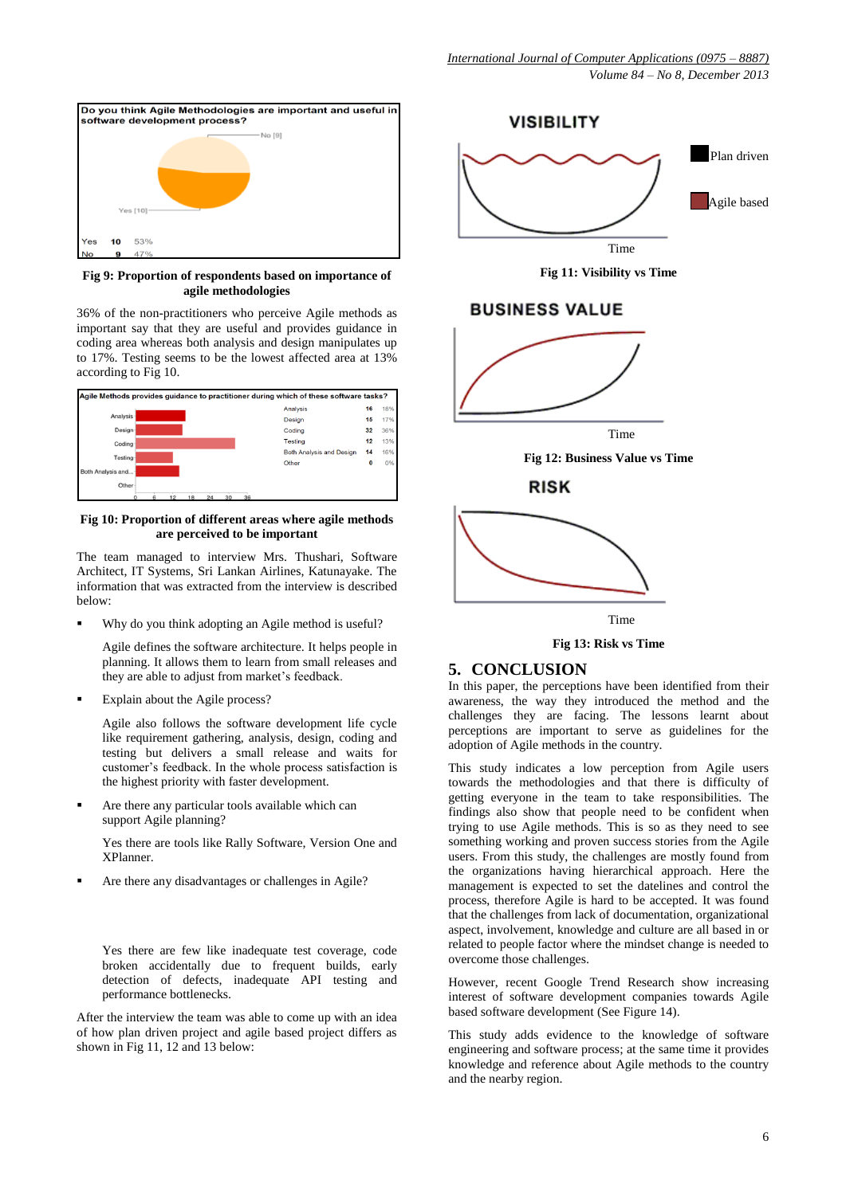

**Fig 9: Proportion of respondents based on importance of agile methodologies**

36% of the non-practitioners who perceive Agile methods as important say that they are useful and provides guidance in coding area whereas both analysis and design manipulates up to 17%. Testing seems to be the lowest affected area at 13% according to Fig 10.



**Fig 10: Proportion of different areas where agile methods are perceived to be important** 

The team managed to interview Mrs. Thushari, Software Architect, IT Systems, Sri Lankan Airlines, Katunayake. The information that was extracted from the interview is described below:

Why do you think adopting an Agile method is useful?

Agile defines the software architecture. It helps people in planning. It allows them to learn from small releases and they are able to adjust from market's feedback.

Explain about the Agile process?

Agile also follows the software development life cycle like requirement gathering, analysis, design, coding and testing but delivers a small release and waits for customer's feedback. In the whole process satisfaction is the highest priority with faster development.

 Are there any particular tools available which can support Agile planning?

Yes there are tools like Rally Software, Version One and XPlanner.

Are there any disadvantages or challenges in Agile?

Yes there are few like inadequate test coverage, code broken accidentally due to frequent builds, early detection of defects, inadequate API testing and performance bottlenecks.

After the interview the team was able to come up with an idea of how plan driven project and agile based project differs as shown in Fig 11, 12 and 13 below:





# **BUSINESS VALUE**









### **5. CONCLUSION**

In this paper, the perceptions have been identified from their awareness, the way they introduced the method and the challenges they are facing. The lessons learnt about perceptions are important to serve as guidelines for the adoption of Agile methods in the country.

This study indicates a low perception from Agile users towards the methodologies and that there is difficulty of getting everyone in the team to take responsibilities. The findings also show that people need to be confident when trying to use Agile methods. This is so as they need to see something working and proven success stories from the Agile users. From this study, the challenges are mostly found from the organizations having hierarchical approach. Here the management is expected to set the datelines and control the process, therefore Agile is hard to be accepted. It was found that the challenges from lack of documentation, organizational aspect, involvement, knowledge and culture are all based in or related to people factor where the mindset change is needed to overcome those challenges.

However, recent Google Trend Research show increasing interest of software development companies towards Agile based software development (See Figure 14).

This study adds evidence to the knowledge of software engineering and software process; at the same time it provides knowledge and reference about Agile methods to the country and the nearby region.